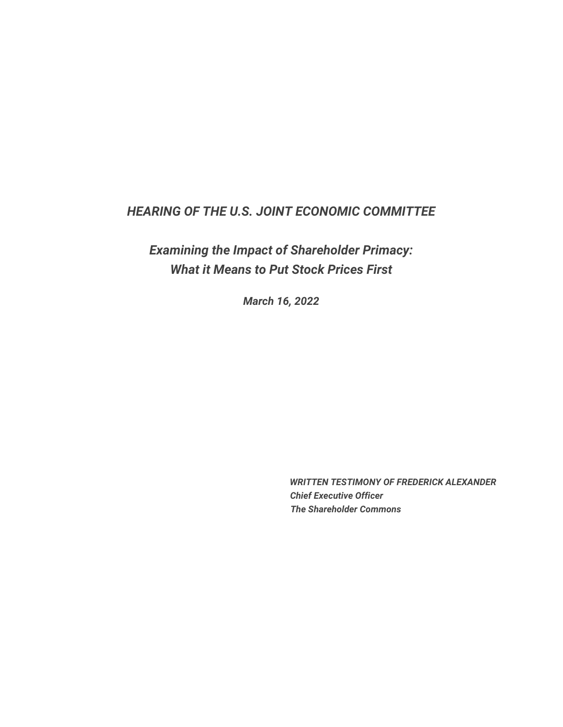# *HEARING OF THE U.S. JOINT ECONOMIC COMMITTEE*

*Examining the Impact of Shareholder Primacy: What it Means to Put Stock Prices First*

*March 16, 2022*

*WRITTEN TESTIMONY OF FREDERICK ALEXANDER Chief Executive Officer The Shareholder Commons*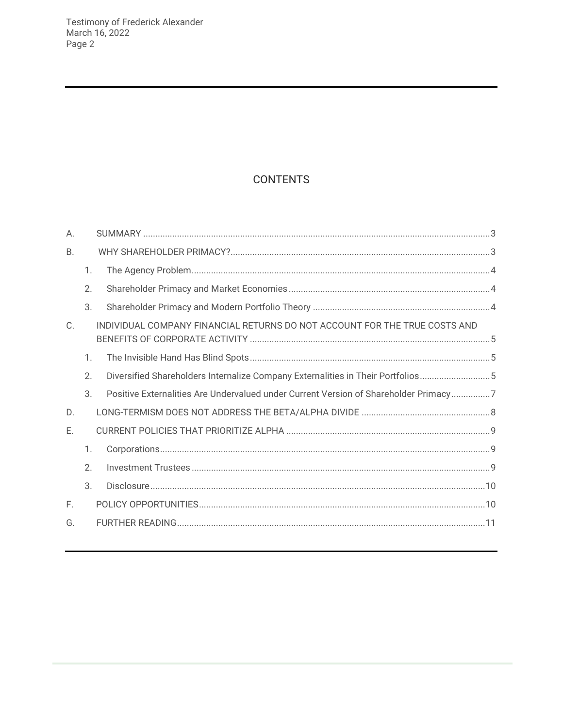# **CONTENTS**

| А.        |                  |                                                                                      |  |
|-----------|------------------|--------------------------------------------------------------------------------------|--|
| <b>B.</b> |                  |                                                                                      |  |
|           | $\mathbf{1}$ .   |                                                                                      |  |
|           | 2.               |                                                                                      |  |
|           | $\mathcal{S}$ .  |                                                                                      |  |
| C.        |                  | INDIVIDUAL COMPANY FINANCIAL RETURNS DO NOT ACCOUNT FOR THE TRUE COSTS AND           |  |
|           | $\mathbf{1}$ .   |                                                                                      |  |
|           | 2.               | Diversified Shareholders Internalize Company Externalities in Their Portfolios5      |  |
|           | 3.               | Positive Externalities Are Undervalued under Current Version of Shareholder Primacy7 |  |
| D.        |                  |                                                                                      |  |
| Ε.        |                  |                                                                                      |  |
|           | 1.               |                                                                                      |  |
|           | $\mathfrak{D}$ . |                                                                                      |  |
|           | 3.               |                                                                                      |  |
| F.        |                  |                                                                                      |  |
| G.        |                  |                                                                                      |  |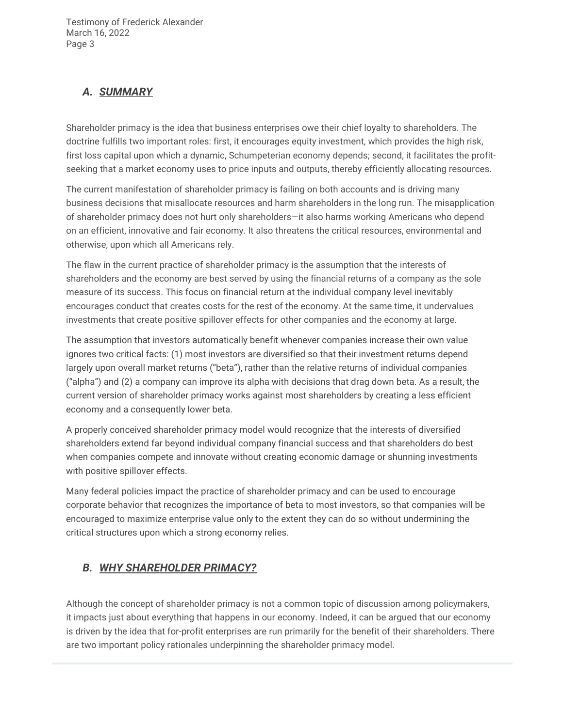## <span id="page-2-0"></span>*A. SUMMARY*

Shareholder primacy is the idea that business enterprises owe their chief loyalty to shareholders. The doctrine fulfills two important roles: first, it encourages equity investment, which provides the high risk, first loss capital upon which a dynamic, Schumpeterian economy depends; second, it facilitates the profitseeking that a market economy uses to price inputs and outputs, thereby efficiently allocating resources.

The current manifestation of shareholder primacy is failing on both accounts and is driving many business decisions that misallocate resources and harm shareholders in the long run. The misapplication of shareholder primacy does not hurt only shareholders—it also harms working Americans who depend on an efficient, innovative and fair economy. It also threatens the critical resources, environmental and otherwise, upon which all Americans rely.

The flaw in the current practice of shareholder primacy is the assumption that the interests of shareholders and the economy are best served by using the financial returns of a company as the sole measure of its success. This focus on financial return at the individual company level inevitably encourages conduct that creates costs for the rest of the economy. At the same time, it undervalues investments that create positive spillover effects for other companies and the economy at large.

The assumption that investors automatically benefit whenever companies increase their own value ignores two critical facts: (1) most investors are diversified so that their investment returns depend largely upon overall market returns ("beta"), rather than the relative returns of individual companies ("alpha") and (2) a company can improve its alpha with decisions that drag down beta. As a result, the current version of shareholder primacy works against most shareholders by creating a less efficient economy and a consequently lower beta.

A properly conceived shareholder primacy model would recognize that the interests of diversified shareholders extend far beyond individual company financial success and that shareholders do best when companies compete and innovate without creating economic damage or shunning investments with positive spillover effects.

Many federal policies impact the practice of shareholder primacy and can be used to encourage corporate behavior that recognizes the importance of beta to most investors, so that companies will be encouraged to maximize enterprise value only to the extent they can do so without undermining the critical structures upon which a strong economy relies.

# <span id="page-2-1"></span>*B. WHY SHAREHOLDER PRIMACY?*

Although the concept of shareholder primacy is not a common topic of discussion among policymakers, it impacts just about everything that happens in our economy. Indeed, it can be argued that our economy is driven by the idea that for-profit enterprises are run primarily for the benefit of their shareholders. There are two important policy rationales underpinning the shareholder primacy model.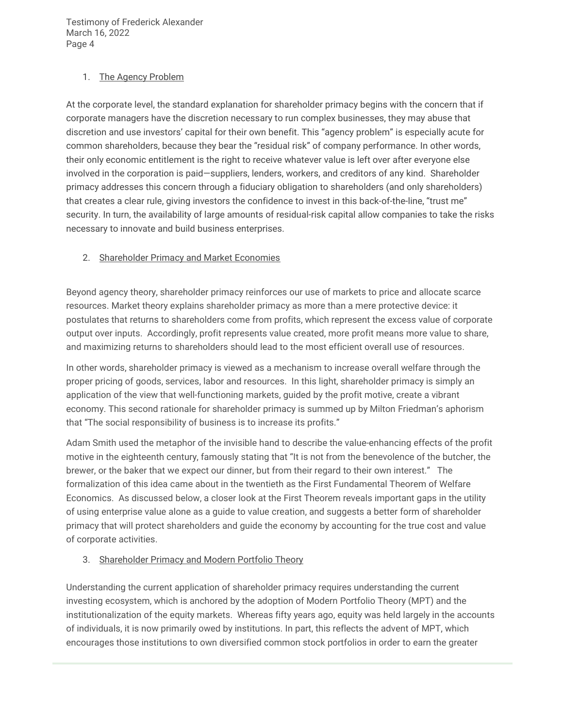#### <span id="page-3-0"></span>1. The Agency Problem

At the corporate level, the standard explanation for shareholder primacy begins with the concern that if corporate managers have the discretion necessary to run complex businesses, they may abuse that discretion and use investors' capital for their own benefit. This "agency problem" is especially acute for common shareholders, because they bear the "residual risk" of company performance. In other words, their only economic entitlement is the right to receive whatever value is left over after everyone else involved in the corporation is paid—suppliers, lenders, workers, and creditors of any kind. Shareholder primacy addresses this concern through a fiduciary obligation to shareholders (and only shareholders) that creates a clear rule, giving investors the confidence to invest in this back-of-the-line, "trust me" security. In turn, the availability of large amounts of residual-risk capital allow companies to take the risks necessary to innovate and build business enterprises.

### <span id="page-3-1"></span>2. Shareholder Primacy and Market Economies

Beyond agency theory, shareholder primacy reinforces our use of markets to price and allocate scarce resources. Market theory explains shareholder primacy as more than a mere protective device: it postulates that returns to shareholders come from profits, which represent the excess value of corporate output over inputs. Accordingly, profit represents value created, more profit means more value to share, and maximizing returns to shareholders should lead to the most efficient overall use of resources.

In other words, shareholder primacy is viewed as a mechanism to increase overall welfare through the proper pricing of goods, services, labor and resources. In this light, shareholder primacy is simply an application of the view that well-functioning markets, guided by the profit motive, create a vibrant economy. This second rationale for shareholder primacy is summed up by Milton Friedman's aphorism that "The social responsibility of business is to increase its profits."

Adam Smith used the metaphor of the invisible hand to describe the value-enhancing effects of the profit motive in the eighteenth century, famously stating that "It is not from the benevolence of the butcher, the brewer, or the baker that we expect our dinner, but from their regard to their own interest." The formalization of this idea came about in the twentieth as the First Fundamental Theorem of Welfare Economics. As discussed below, a closer look at the First Theorem reveals important gaps in the utility of using enterprise value alone as a guide to value creation, and suggests a better form of shareholder primacy that will protect shareholders and guide the economy by accounting for the true cost and value of corporate activities.

### <span id="page-3-2"></span>3. Shareholder Primacy and Modern Portfolio Theory

Understanding the current application of shareholder primacy requires understanding the current investing ecosystem, which is anchored by the adoption of Modern Portfolio Theory (MPT) and the institutionalization of the equity markets. Whereas fifty years ago, equity was held largely in the accounts of individuals, it is now primarily owed by institutions. In part, this reflects the advent of MPT, which encourages those institutions to own diversified common stock portfolios in order to earn the greater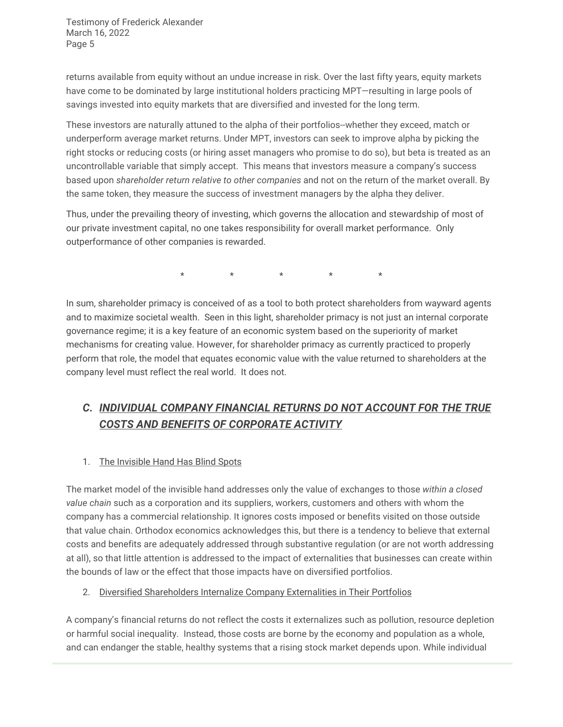returns available from equity without an undue increase in risk. Over the last fifty years, equity markets have come to be dominated by large institutional holders practicing MPT—resulting in large pools of savings invested into equity markets that are diversified and invested for the long term.

These investors are naturally attuned to the alpha of their portfolios--whether they exceed, match or underperform average market returns. Under MPT, investors can seek to improve alpha by picking the right stocks or reducing costs (or hiring asset managers who promise to do so), but beta is treated as an uncontrollable variable that simply accept. This means that investors measure a company's success based upon *shareholder return relative to other companies* and not on the return of the market overall. By the same token, they measure the success of investment managers by the alpha they deliver.

Thus, under the prevailing theory of investing, which governs the allocation and stewardship of most of our private investment capital, no one takes responsibility for overall market performance. Only outperformance of other companies is rewarded.

\* \* \* \* \*

In sum, shareholder primacy is conceived of as a tool to both protect shareholders from wayward agents and to maximize societal wealth. Seen in this light, shareholder primacy is not just an internal corporate governance regime; it is a key feature of an economic system based on the superiority of market mechanisms for creating value. However, for shareholder primacy as currently practiced to properly perform that role, the model that equates economic value with the value returned to shareholders at the company level must reflect the real world. It does not.

# <span id="page-4-0"></span>*C. INDIVIDUAL COMPANY FINANCIAL RETURNS DO NOT ACCOUNT FOR THE TRUE COSTS AND BENEFITS OF CORPORATE ACTIVITY*

## <span id="page-4-1"></span>1. The Invisible Hand Has Blind Spots

The market model of the invisible hand addresses only the value of exchanges to those *within a closed value chain* such as a corporation and its suppliers, workers, customers and others with whom the company has a commercial relationship. It ignores costs imposed or benefits visited on those outside that value chain. Orthodox economics acknowledges this, but there is a tendency to believe that external costs and benefits are adequately addressed through substantive regulation (or are not worth addressing at all), so that little attention is addressed to the impact of externalities that businesses can create within the bounds of law or the effect that those impacts have on diversified portfolios.

### <span id="page-4-2"></span>2. Diversified Shareholders Internalize Company Externalities in Their Portfolios

A company's financial returns do not reflect the costs it externalizes such as pollution, resource depletion or harmful social inequality. Instead, those costs are borne by the economy and population as a whole, and can endanger the stable, healthy systems that a rising stock market depends upon. While individual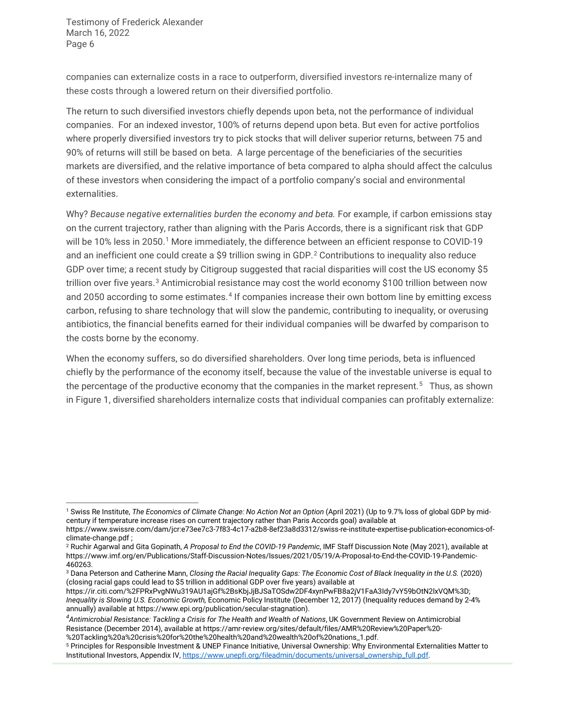companies can externalize costs in a race to outperform, diversified investors re-internalize many of these costs through a lowered return on their diversified portfolio.

The return to such diversified investors chiefly depends upon beta, not the performance of individual companies. For an indexed investor, 100% of returns depend upon beta. But even for active portfolios where properly diversified investors try to pick stocks that will deliver superior returns, between 75 and 90% of returns will still be based on beta. A large percentage of the beneficiaries of the securities markets are diversified, and the relative importance of beta compared to alpha should affect the calculus of these investors when considering the impact of a portfolio company's social and environmental externalities.

Why? Because negative externalities burden the economy and beta. For example, if carbon emissions stay on the current trajectory, rather than aligning with the Paris Accords, there is a significant risk that GDP will be [1](#page-5-0)0% less in 2050.<sup>1</sup> More immediately, the difference between an efficient response to COVID-19 and an inefficient one could create a \$9 trillion swing in GDP.<sup>[2](#page-5-1)</sup> Contributions to inequality also reduce GDP over time; a recent study by Citigroup suggested that racial disparities will cost the US economy \$5 trillion over five years.<sup>[3](#page-5-2)</sup> Antimicrobial resistance may cost the world economy \$100 trillion between now and 2050 according to some estimates.<sup>[4](#page-5-3)</sup> If companies increase their own bottom line by emitting excess carbon, refusing to share technology that will slow the pandemic, contributing to inequality, or overusing antibiotics, the financial benefits earned for their individual companies will be dwarfed by comparison to the costs borne by the economy.

When the economy suffers, so do diversified shareholders. Over long time periods, beta is influenced chiefly by the performance of the economy itself, because the value of the investable universe is equal to the percentage of the productive economy that the companies in the market represent.<sup>5</sup> Thus, as shown in Figure 1, diversified shareholders internalize costs that individual companies can profitably externalize:

<span id="page-5-0"></span> <sup>1</sup> Swiss Re Institute, *The Economics of Climate Change: No Action Not an Option* (April 2021) (Up to 9.7% loss of global GDP by midcentury if temperature increase rises on current trajectory rather than Paris Accords goal) available at

https://www.swissre.com/dam/jcr:e73ee7c3-7f83-4c17-a2b8-8ef23a8d3312/swiss-re-institute-expertise-publication-economics-ofclimate-change.pdf ;<br><sup>2</sup> Ruchir Agarwal and Gita Gopinath, *A Proposal to End the COVID-19 Pandemic*, IMF Staff Discussion Note (May 2021), available at

<span id="page-5-1"></span>https://www.imf.org/en/Publications/Staff-Discussion-Notes/Issues/2021/05/19/A-Proposal-to-End-the-COVID-19-Pandemic-460263.

<span id="page-5-2"></span><sup>3</sup> Dana Peterson and Catherine Mann, *Closing the Racial Inequality Gaps: The Economic Cost of Black Inequality in the U.S.* (2020) (closing racial gaps could lead to \$5 trillion in additional GDP over five years) available at

https://ir.citi.com/%2FPRxPvgNWu319AU1ajGf%2BsKbjJjBJSaTOSdw2DF4xynPwFB8a2jV1FaA3Idy7vY59bOtN2lxVQM%3D; *Inequality is Slowing U.S. Economic Growth,* Economic Policy Institute (December 12, 2017) (Inequality reduces demand by 2-4% annually) available at https://www.epi.org/publication/secular-stagnation).

<span id="page-5-3"></span>*<sup>4</sup> Antimicrobial Resistance: Tackling a Crisis for The Health and Wealth of Nations*, UK Government Review on Antimicrobial Resistance (December 2014), available at https://amr-review.org/sites/default/files/AMR%20Review%20Paper%20- %20Tackling%20a%20crisis%20for%20the%20health%20and%20wealth%20of%20nations\_1.pdf.

<span id="page-5-4"></span><sup>5</sup> Principles for Responsible Investment & UNEP Finance Initiative, Universal Ownership: Why Environmental Externalities Matter to Institutional Investors, Appendix IV[, https://www.unepfi.org/fileadmin/documents/universal\\_ownership\\_full.pdf.](https://www.unepfi.org/fileadmin/documents/universal_ownership_full.pdf)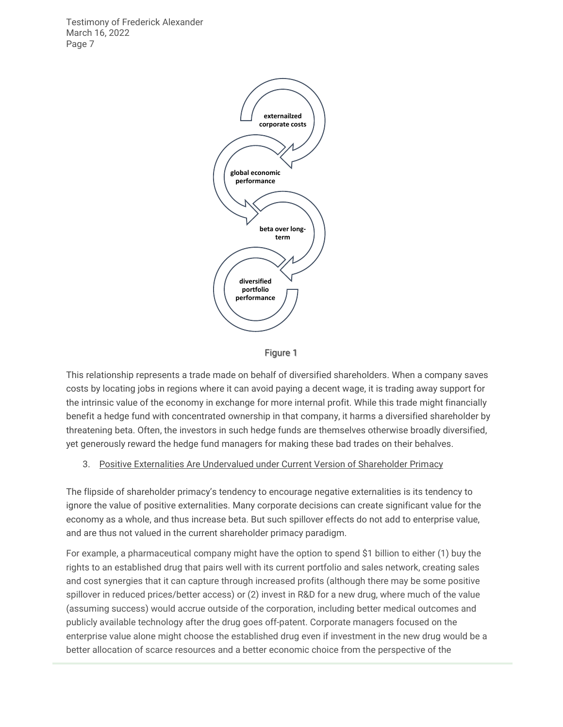



This relationship represents a trade made on behalf of diversified shareholders. When a company saves costs by locating jobs in regions where it can avoid paying a decent wage, it is trading away support for the intrinsic value of the economy in exchange for more internal profit. While this trade might financially benefit a hedge fund with concentrated ownership in that company, it harms a diversified shareholder by threatening beta. Often, the investors in such hedge funds are themselves otherwise broadly diversified, yet generously reward the hedge fund managers for making these bad trades on their behalves.

#### <span id="page-6-0"></span>3. Positive Externalities Are Undervalued under Current Version of Shareholder Primacy

The flipside of shareholder primacy's tendency to encourage negative externalities is its tendency to ignore the value of positive externalities. Many corporate decisions can create significant value for the economy as a whole, and thus increase beta. But such spillover effects do not add to enterprise value, and are thus not valued in the current shareholder primacy paradigm.

For example, a pharmaceutical company might have the option to spend \$1 billion to either (1) buy the rights to an established drug that pairs well with its current portfolio and sales network, creating sales and cost synergies that it can capture through increased profits (although there may be some positive spillover in reduced prices/better access) or (2) invest in R&D for a new drug, where much of the value (assuming success) would accrue outside of the corporation, including better medical outcomes and publicly available technology after the drug goes off-patent. Corporate managers focused on the enterprise value alone might choose the established drug even if investment in the new drug would be a better allocation of scarce resources and a better economic choice from the perspective of the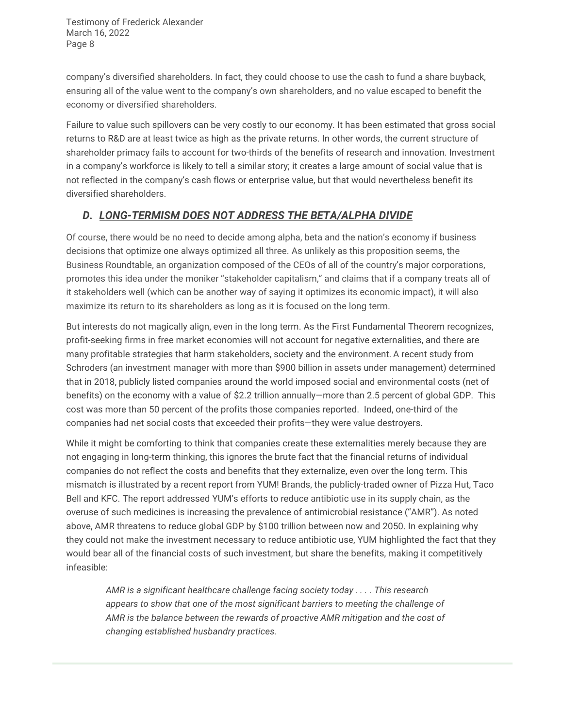company's diversified shareholders. In fact, they could choose to use the cash to fund a share buyback, ensuring all of the value went to the company's own shareholders, and no value escaped to benefit the economy or diversified shareholders.

Failure to value such spillovers can be very costly to our economy. It has been estimated that gross social returns to R&D are at least twice as high as the private returns. In other words, the current structure of shareholder primacy fails to account for two-thirds of the benefits of research and innovation. Investment in a company's workforce is likely to tell a similar story; it creates a large amount of social value that is not reflected in the company's cash flows or enterprise value, but that would nevertheless benefit its diversified shareholders.

## <span id="page-7-0"></span>*D. LONG-TERMISM DOES NOT ADDRESS THE BETA/ALPHA DIVIDE*

Of course, there would be no need to decide among alpha, beta and the nation's economy if business decisions that optimize one always optimized all three. As unlikely as this proposition seems, the Business Roundtable, an organization composed of the CEOs of all of the country's major corporations, promotes this idea under the moniker "stakeholder capitalism," and claims that if a company treats all of it stakeholders well (which can be another way of saying it optimizes its economic impact), it will also maximize its return to its shareholders as long as it is focused on the long term.

But interests do not magically align, even in the long term. As the First Fundamental Theorem recognizes, profit-seeking firms in free market economies will not account for negative externalities, and there are many profitable strategies that harm stakeholders, society and the environment. A recent study from Schroders (an investment manager with more than \$900 billion in assets under management) determined that in 2018, publicly listed companies around the world imposed social and environmental costs (net of benefits) on the economy with a value of \$2.2 trillion annually—more than 2.5 percent of global GDP. This cost was more than 50 percent of the profits those companies reported. Indeed, one-third of the companies had net social costs that exceeded their profits—they were value destroyers.

While it might be comforting to think that companies create these externalities merely because they are not engaging in long-term thinking, this ignores the brute fact that the financial returns of individual companies do not reflect the costs and benefits that they externalize, even over the long term. This mismatch is illustrated by a recent report from YUM! Brands, the publicly-traded owner of Pizza Hut, Taco Bell and KFC. The report addressed YUM's efforts to reduce antibiotic use in its supply chain, as the overuse of such medicines is increasing the prevalence of antimicrobial resistance ("AMR"). As noted above, AMR threatens to reduce global GDP by \$100 trillion between now and 2050. In explaining why they could not make the investment necessary to reduce antibiotic use, YUM highlighted the fact that they would bear all of the financial costs of such investment, but share the benefits, making it competitively infeasible:

*AMR is a significant healthcare challenge facing society today . . . . This research appears to show that one of the most significant barriers to meeting the challenge of AMR is the balance between the rewards of proactive AMR mitigation and the cost of changing established husbandry practices.*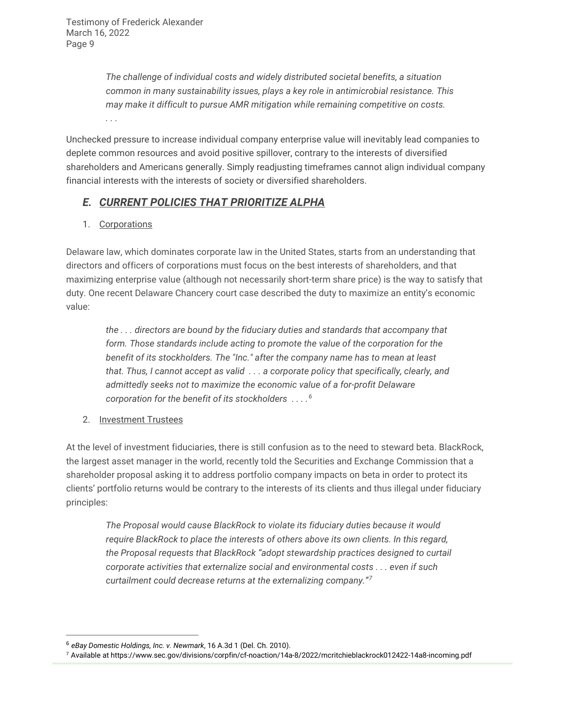*The challenge of individual costs and widely distributed societal benefits, a situation common in many sustainability issues, plays a key role in antimicrobial resistance. This may make it difficult to pursue AMR mitigation while remaining competitive on costs. . . .*

Unchecked pressure to increase individual company enterprise value will inevitably lead companies to deplete common resources and avoid positive spillover, contrary to the interests of diversified shareholders and Americans generally. Simply readjusting timeframes cannot align individual company financial interests with the interests of society or diversified shareholders.

## <span id="page-8-0"></span>*E. CURRENT POLICIES THAT PRIORITIZE ALPHA*

<span id="page-8-1"></span>1. Corporations

Delaware law, which dominates corporate law in the United States, starts from an understanding that directors and officers of corporations must focus on the best interests of shareholders, and that maximizing enterprise value (although not necessarily short-term share price) is the way to satisfy that duty. One recent Delaware Chancery court case described the duty to maximize an entity's economic value:

*the . . . directors are bound by the fiduciary duties and standards that accompany that form. Those standards include acting to promote the value of the corporation for the benefit of its stockholders. The "Inc." after the company name has to mean at least that. Thus, I cannot accept as valid . . . a corporate policy that specifically, clearly, and admittedly seeks not to maximize the economic value of a for-profit Delaware corporation for the benefit of its stockholders . . . .[6](#page-8-3)*

<span id="page-8-2"></span>2. Investment Trustees

 $\overline{a}$ 

At the level of investment fiduciaries, there is still confusion as to the need to steward beta. BlackRock, the largest asset manager in the world, recently told the Securities and Exchange Commission that a shareholder proposal asking it to address portfolio company impacts on beta in order to protect its clients' portfolio returns would be contrary to the interests of its clients and thus illegal under fiduciary principles:

*The Proposal would cause BlackRock to violate its fiduciary duties because it would require BlackRock to place the interests of others above its own clients. In this regard, the Proposal requests that BlackRock "adopt stewardship practices designed to curtail corporate activities that externalize social and environmental costs . . . even if such curtailment could decrease returns at the externalizing company."[7](#page-8-4)*

<span id="page-8-3"></span><sup>6</sup> *eBay Domestic Holdings, Inc. v. Newmark*, 16 A.3d 1 (Del. Ch. 2010).

<span id="page-8-4"></span><sup>7</sup> Available at https://www.sec.gov/divisions/corpfin/cf-noaction/14a-8/2022/mcritchieblackrock012422-14a8-incoming.pdf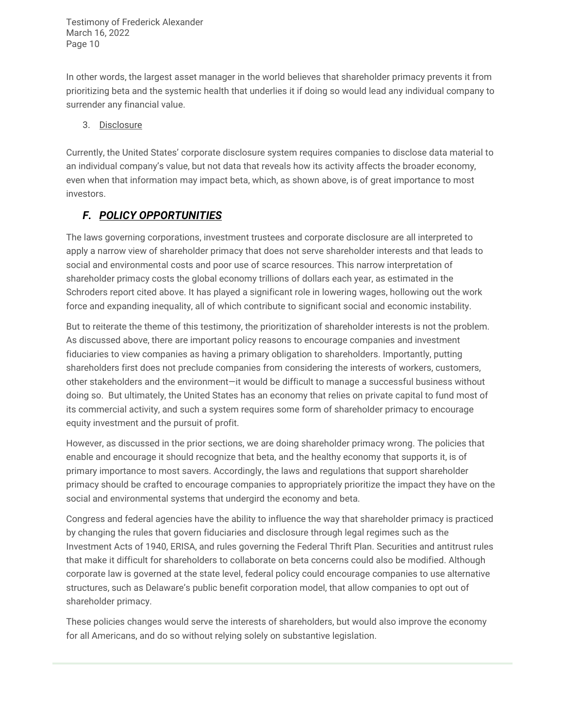In other words, the largest asset manager in the world believes that shareholder primacy prevents it from prioritizing beta and the systemic health that underlies it if doing so would lead any individual company to surrender any financial value.

#### <span id="page-9-0"></span>3. Disclosure

Currently, the United States' corporate disclosure system requires companies to disclose data material to an individual company's value, but not data that reveals how its activity affects the broader economy, even when that information may impact beta, which, as shown above, is of great importance to most investors.

## <span id="page-9-1"></span>*F. POLICY OPPORTUNITIES*

The laws governing corporations, investment trustees and corporate disclosure are all interpreted to apply a narrow view of shareholder primacy that does not serve shareholder interests and that leads to social and environmental costs and poor use of scarce resources. This narrow interpretation of shareholder primacy costs the global economy trillions of dollars each year, as estimated in the Schroders report cited above. It has played a significant role in lowering wages, hollowing out the work force and expanding inequality, all of which contribute to significant social and economic instability.

But to reiterate the theme of this testimony, the prioritization of shareholder interests is not the problem. As discussed above, there are important policy reasons to encourage companies and investment fiduciaries to view companies as having a primary obligation to shareholders. Importantly, putting shareholders first does not preclude companies from considering the interests of workers, customers, other stakeholders and the environment—it would be difficult to manage a successful business without doing so. But ultimately, the United States has an economy that relies on private capital to fund most of its commercial activity, and such a system requires some form of shareholder primacy to encourage equity investment and the pursuit of profit.

However, as discussed in the prior sections, we are doing shareholder primacy wrong. The policies that enable and encourage it should recognize that beta, and the healthy economy that supports it, is of primary importance to most savers. Accordingly, the laws and regulations that support shareholder primacy should be crafted to encourage companies to appropriately prioritize the impact they have on the social and environmental systems that undergird the economy and beta.

Congress and federal agencies have the ability to influence the way that shareholder primacy is practiced by changing the rules that govern fiduciaries and disclosure through legal regimes such as the Investment Acts of 1940, ERISA, and rules governing the Federal Thrift Plan. Securities and antitrust rules that make it difficult for shareholders to collaborate on beta concerns could also be modified. Although corporate law is governed at the state level, federal policy could encourage companies to use alternative structures, such as Delaware's public benefit corporation model, that allow companies to opt out of shareholder primacy.

These policies changes would serve the interests of shareholders, but would also improve the economy for all Americans, and do so without relying solely on substantive legislation.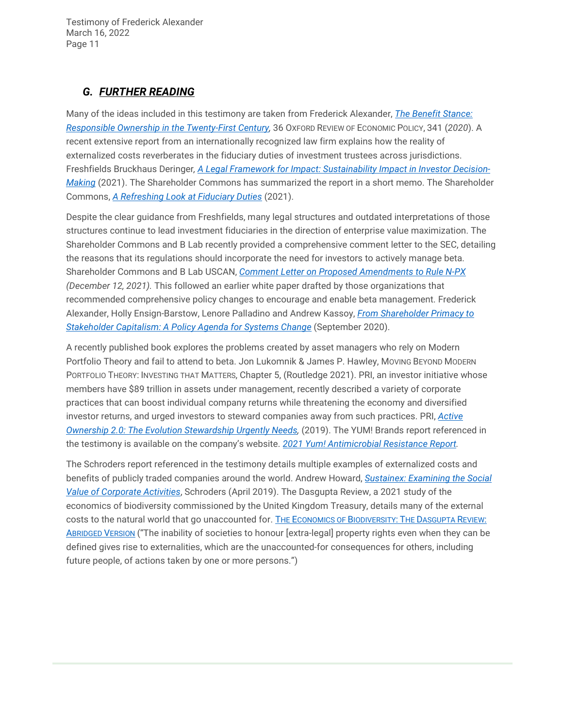## <span id="page-10-0"></span>*G. FURTHER READING*

Many of the ideas included in this testimony are taken from Frederick Alexander, *[The Benefit Stance:](https://theshareholdercommons.com/wp-content/uploads/2022/03/OXREP-pdf.pdf)  [Responsible Ownership in the Twenty-First Century,](https://theshareholdercommons.com/wp-content/uploads/2022/03/OXREP-pdf.pdf)* 36 OXFORD REVIEW OF ECONOMIC POLICY, 341 (*2020*). A recent extensive report from an internationally recognized law firm explains how the reality of externalized costs reverberates in the fiduciary duties of investment trustees across jurisdictions. Freshfields Bruckhaus Deringer*, [A Legal Framework for Impact: Sustainability Impact in Investor Decision-](https://www.freshfields.us/4a199a/globalassets/our-thinking/campaigns/legal-framework-for-impact/a-legal-framework-for-impact.pdf)[Making](https://www.freshfields.us/4a199a/globalassets/our-thinking/campaigns/legal-framework-for-impact/a-legal-framework-for-impact.pdf)* (2021). The Shareholder Commons has summarized the report in a short memo. The Shareholder Commons, *[A Refreshing Look at Fiduciary Duties](https://theshareholdercommons.com/wp-content/uploads/2021/11/Freshfields-report-memo.pdf)* (2021).

Despite the clear guidance from Freshfields, many legal structures and outdated interpretations of those structures continue to lead investment fiduciaries in the direction of enterprise value maximization. The Shareholder Commons and B Lab recently provided a comprehensive comment letter to the SEC, detailing the reasons that its regulations should incorporate the need for investors to actively manage beta. Shareholder Commons and B Lab USCAN, *[Comment Letter on Proposed Amendments to Rule N-PX](https://theshareholdercommons.com/wp-content/uploads/2021/12/Final-2021.SEC_.N-PX-Response.pdf) (December 12, 2021).* This followed an earlier white paper drafted by those organizations that recommended comprehensive policy changes to encourage and enable beta management. Frederick Alexander, Holly Ensign-Barstow, Lenore Palladino and Andrew Kassoy, *[From Shareholder Primacy to](https://www.wlrk.com/docs/From-Shareholder-Primacy-to-Stakeholder-Capitalism-TSC-and-B-Lab-White-Paper.pdf)  Stakeholder Capitalism: [A Policy Agenda for Systems Change](https://www.wlrk.com/docs/From-Shareholder-Primacy-to-Stakeholder-Capitalism-TSC-and-B-Lab-White-Paper.pdf)* (September 2020).

A recently published book explores the problems created by asset managers who rely on Modern Portfolio Theory and fail to attend to beta. Jon Lukomnik & James P. Hawley, MOVING BEYOND MODERN PORTFOLIO THEORY: INVESTING THAT MATTERS, Chapter 5, (Routledge 2021). PRI, an investor initiative whose members have \$89 trillion in assets under management, recently described a variety of corporate practices that can boost individual company returns while threatening the economy and diversified investor returns, and urged investors to steward companies away from such practices. PRI, *[Active](https://www.unpri.org/download?ac=9721)  [Ownership 2.0: The Evolution Stewardship Urgently Needs,](https://www.unpri.org/download?ac=9721)* (2019). The YUM! Brands report referenced in the testimony is available on the company's website. *[2021 Yum! Antimicrobial Resistance Report.](https://www.yum.com/wps/wcm/connect/yumbrands/41a69d9d-5f66-4a68-bdee-e60d138bd741/Antimicrobial+Resistance+Report+2021+11-4+-+final.pdf?MOD=AJPERES&CVID=nPMkceo)*

The Schroders report referenced in the testimony details multiple examples of externalized costs and benefits of publicly traded companies around the world. Andrew Howard, *[Sustainex: Examining the Social](https://www.schroders.com/en/sysglobalassets/digital/insights/2019/pdfs/sustainability/sustainex/sustainex-short.pdf)  [Value of Corporate Activities](https://www.schroders.com/en/sysglobalassets/digital/insights/2019/pdfs/sustainability/sustainex/sustainex-short.pdf)*, Schroders (April 2019). The Dasgupta Review, a 2021 study of the economics of biodiversity commissioned by the United Kingdom Treasury, details many of the external costs to the natural world that go unaccounted for. [THE ECONOMICS OF BIODIVERSITY:](https://assets.publishing.service.gov.uk/government/uploads/system/uploads/attachment_data/file/957292/Dasgupta_Review_-_Abridged_Version.pdf) THE DASGUPTA REVIEW: [ABRIDGED VERSION](https://assets.publishing.service.gov.uk/government/uploads/system/uploads/attachment_data/file/957292/Dasgupta_Review_-_Abridged_Version.pdf) ("The inability of societies to honour [extra-legal] property rights even when they can be defined gives rise to externalities, which are the unaccounted-for consequences for others, including future people, of actions taken by one or more persons.")